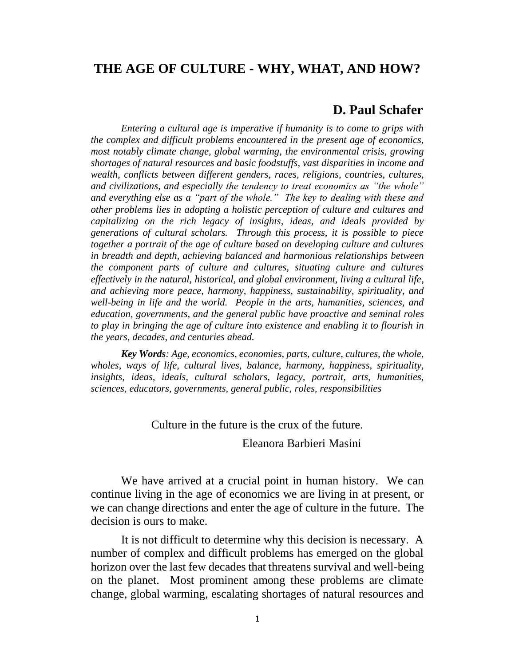## **THE AGE OF CULTURE - WHY, WHAT, AND HOW?**

## **D. Paul Schafer**

*Entering a cultural age is imperative if humanity is to come to grips with the complex and difficult problems encountered in the present age of economics, most notably climate change, global warming, the environmental crisis, growing shortages of natural resources and basic foodstuffs, vast disparities in income and wealth, conflicts between different genders, races, religions, countries, cultures, and civilizations, and especially the tendency to treat economics as "the whole" and everything else as a "part of the whole." The key to dealing with these and other problems lies in adopting a holistic perception of culture and cultures and capitalizing on the rich legacy of insights, ideas, and ideals provided by generations of cultural scholars. Through this process, it is possible to piece together a portrait of the age of culture based on developing culture and cultures in breadth and depth, achieving balanced and harmonious relationships between the component parts of culture and cultures, situating culture and cultures effectively in the natural, historical, and global environment, living a cultural life, and achieving more peace, harmony, happiness, sustainability, spirituality, and well-being in life and the world. People in the arts, humanities, sciences, and education, governments, and the general public have proactive and seminal roles to play in bringing the age of culture into existence and enabling it to flourish in the years, decades, and centuries ahead.* 

*Key Words: Age, economics, economies, parts, culture, cultures, the whole, wholes, ways of life, cultural lives, balance, harmony, happiness, spirituality, insights, ideas, ideals, cultural scholars, legacy, portrait, arts, humanities, sciences, educators, governments, general public, roles, responsibilities* 

## Culture in the future is the crux of the future.

Eleanora Barbieri Masini

We have arrived at a crucial point in human history. We can continue living in the age of economics we are living in at present, or we can change directions and enter the age of culture in the future. The decision is ours to make.

It is not difficult to determine why this decision is necessary. A number of complex and difficult problems has emerged on the global horizon over the last few decades that threatens survival and well-being on the planet. Most prominent among these problems are climate change, global warming, escalating shortages of natural resources and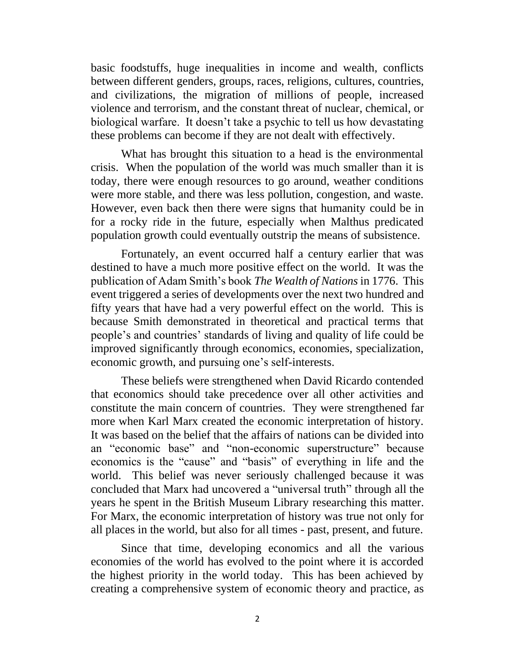basic foodstuffs, huge inequalities in income and wealth, conflicts between different genders, groups, races, religions, cultures, countries, and civilizations, the migration of millions of people, increased violence and terrorism, and the constant threat of nuclear, chemical, or biological warfare. It doesn't take a psychic to tell us how devastating these problems can become if they are not dealt with effectively.

What has brought this situation to a head is the environmental crisis. When the population of the world was much smaller than it is today, there were enough resources to go around, weather conditions were more stable, and there was less pollution, congestion, and waste. However, even back then there were signs that humanity could be in for a rocky ride in the future, especially when Malthus predicated population growth could eventually outstrip the means of subsistence.

Fortunately, an event occurred half a century earlier that was destined to have a much more positive effect on the world. It was the publication of Adam Smith's book *The Wealth of Nations* in 1776. This event triggered a series of developments over the next two hundred and fifty years that have had a very powerful effect on the world. This is because Smith demonstrated in theoretical and practical terms that people's and countries' standards of living and quality of life could be improved significantly through economics, economies, specialization, economic growth, and pursuing one's self-interests.

These beliefs were strengthened when David Ricardo contended that economics should take precedence over all other activities and constitute the main concern of countries. They were strengthened far more when Karl Marx created the economic interpretation of history. It was based on the belief that the affairs of nations can be divided into an "economic base" and "non-economic superstructure" because economics is the "cause" and "basis" of everything in life and the world. This belief was never seriously challenged because it was concluded that Marx had uncovered a "universal truth" through all the years he spent in the British Museum Library researching this matter. For Marx, the economic interpretation of history was true not only for all places in the world, but also for all times - past, present, and future.

Since that time, developing economics and all the various economies of the world has evolved to the point where it is accorded the highest priority in the world today. This has been achieved by creating a comprehensive system of economic theory and practice, as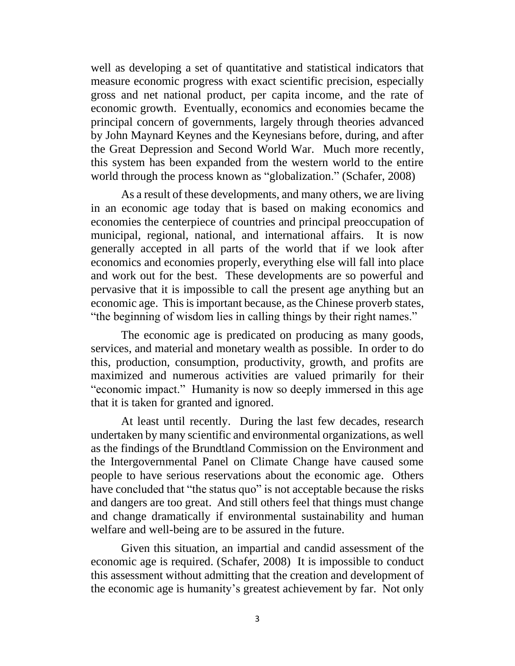well as developing a set of quantitative and statistical indicators that measure economic progress with exact scientific precision, especially gross and net national product, per capita income, and the rate of economic growth. Eventually, economics and economies became the principal concern of governments, largely through theories advanced by John Maynard Keynes and the Keynesians before, during, and after the Great Depression and Second World War. Much more recently, this system has been expanded from the western world to the entire world through the process known as "globalization." (Schafer, 2008)

As a result of these developments, and many others, we are living in an economic age today that is based on making economics and economies the centerpiece of countries and principal preoccupation of municipal, regional, national, and international affairs. It is now generally accepted in all parts of the world that if we look after economics and economies properly, everything else will fall into place and work out for the best. These developments are so powerful and pervasive that it is impossible to call the present age anything but an economic age. This is important because, as the Chinese proverb states, "the beginning of wisdom lies in calling things by their right names."

The economic age is predicated on producing as many goods, services, and material and monetary wealth as possible. In order to do this, production, consumption, productivity, growth, and profits are maximized and numerous activities are valued primarily for their "economic impact." Humanity is now so deeply immersed in this age that it is taken for granted and ignored.

At least until recently. During the last few decades, research undertaken by many scientific and environmental organizations, as well as the findings of the Brundtland Commission on the Environment and the Intergovernmental Panel on Climate Change have caused some people to have serious reservations about the economic age. Others have concluded that "the status quo" is not acceptable because the risks and dangers are too great. And still others feel that things must change and change dramatically if environmental sustainability and human welfare and well-being are to be assured in the future.

Given this situation, an impartial and candid assessment of the economic age is required. (Schafer, 2008) It is impossible to conduct this assessment without admitting that the creation and development of the economic age is humanity's greatest achievement by far. Not only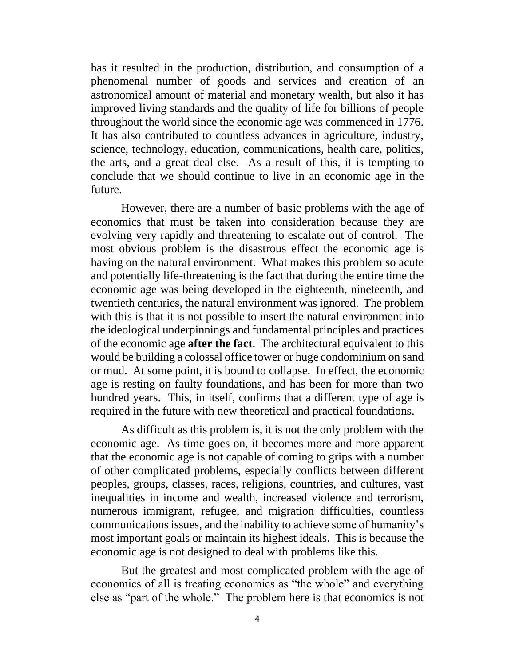has it resulted in the production, distribution, and consumption of a phenomenal number of goods and services and creation of an astronomical amount of material and monetary wealth, but also it has improved living standards and the quality of life for billions of people throughout the world since the economic age was commenced in 1776. It has also contributed to countless advances in agriculture, industry, science, technology, education, communications, health care, politics, the arts, and a great deal else. As a result of this, it is tempting to conclude that we should continue to live in an economic age in the future.

However, there are a number of basic problems with the age of economics that must be taken into consideration because they are evolving very rapidly and threatening to escalate out of control. The most obvious problem is the disastrous effect the economic age is having on the natural environment. What makes this problem so acute and potentially life-threatening is the fact that during the entire time the economic age was being developed in the eighteenth, nineteenth, and twentieth centuries, the natural environment was ignored. The problem with this is that it is not possible to insert the natural environment into the ideological underpinnings and fundamental principles and practices of the economic age **after the fact**. The architectural equivalent to this would be building a colossal office tower or huge condominium on sand or mud. At some point, it is bound to collapse.In effect, the economic age is resting on faulty foundations, and has been for more than two hundred years. This, in itself, confirms that a different type of age is required in the future with new theoretical and practical foundations.

As difficult as this problem is, it is not the only problem with the economic age. As time goes on, it becomes more and more apparent that the economic age is not capable of coming to grips with a number of other complicated problems, especially conflicts between different peoples, groups, classes, races, religions, countries, and cultures, vast inequalities in income and wealth, increased violence and terrorism, numerous immigrant, refugee, and migration difficulties, countless communications issues, and the inability to achieve some of humanity's most important goals or maintain its highest ideals. This is because the economic age is not designed to deal with problems like this.

But the greatest and most complicated problem with the age of economics of all is treating economics as "the whole" and everything else as "part of the whole." The problem here is that economics is not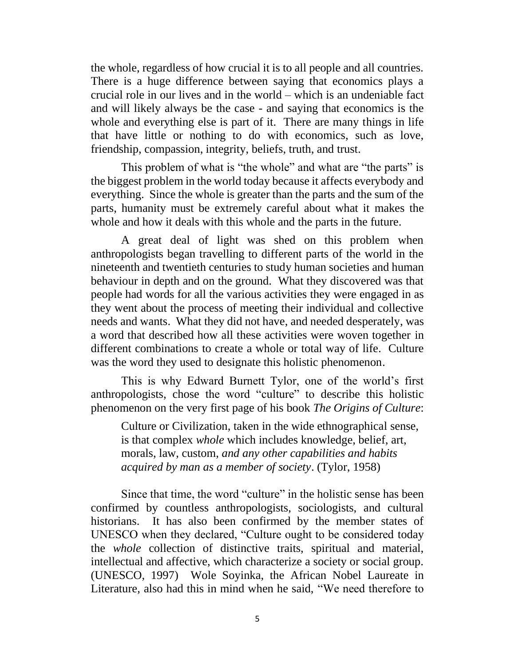the whole, regardless of how crucial it is to all people and all countries. There is a huge difference between saying that economics plays a crucial role in our lives and in the world – which is an undeniable fact and will likely always be the case - and saying that economics is the whole and everything else is part of it. There are many things in life that have little or nothing to do with economics, such as love, friendship, compassion, integrity, beliefs, truth, and trust.

This problem of what is "the whole" and what are "the parts" is the biggest problem in the world today because it affects everybody and everything. Since the whole is greater than the parts and the sum of the parts, humanity must be extremely careful about what it makes the whole and how it deals with this whole and the parts in the future.

A great deal of light was shed on this problem when anthropologists began travelling to different parts of the world in the nineteenth and twentieth centuries to study human societies and human behaviour in depth and on the ground. What they discovered was that people had words for all the various activities they were engaged in as they went about the process of meeting their individual and collective needs and wants. What they did not have, and needed desperately, was a word that described how all these activities were woven together in different combinations to create a whole or total way of life. Culture was the word they used to designate this holistic phenomenon.

This is why Edward Burnett Tylor, one of the world's first anthropologists, chose the word "culture" to describe this holistic phenomenon on the very first page of his book *The Origins of Culture*:

Culture or Civilization, taken in the wide ethnographical sense, is that complex *whole* which includes knowledge, belief, art, morals, law, custom, *and any other capabilities and habits acquired by man as a member of society*. (Tylor, 1958)

Since that time, the word "culture" in the holistic sense has been confirmed by countless anthropologists, sociologists, and cultural historians. It has also been confirmed by the member states of UNESCO when they declared, "Culture ought to be considered today the *whole* collection of distinctive traits, spiritual and material, intellectual and affective, which characterize a society or social group. (UNESCO, 1997) Wole Soyinka, the African Nobel Laureate in Literature, also had this in mind when he said, "We need therefore to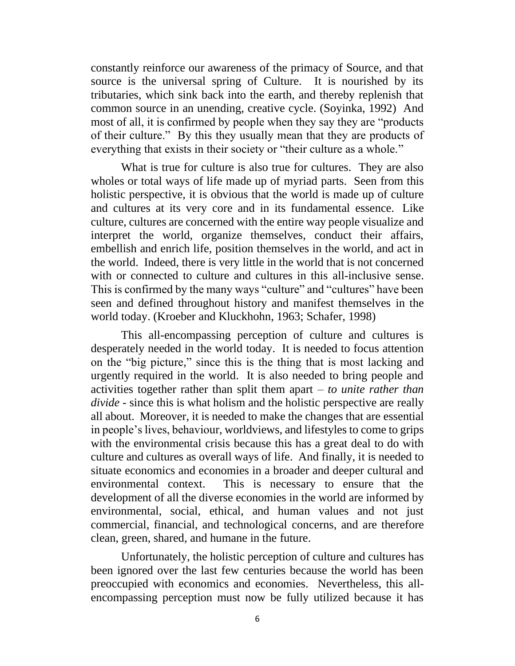constantly reinforce our awareness of the primacy of Source, and that source is the universal spring of Culture. It is nourished by its tributaries, which sink back into the earth, and thereby replenish that common source in an unending, creative cycle. (Soyinka, 1992) And most of all, it is confirmed by people when they say they are "products of their culture." By this they usually mean that they are products of everything that exists in their society or "their culture as a whole."

What is true for culture is also true for cultures. They are also wholes or total ways of life made up of myriad parts. Seen from this holistic perspective, it is obvious that the world is made up of culture and cultures at its very core and in its fundamental essence. Like culture, cultures are concerned with the entire way people visualize and interpret the world, organize themselves, conduct their affairs, embellish and enrich life, position themselves in the world, and act in the world. Indeed, there is very little in the world that is not concerned with or connected to culture and cultures in this all-inclusive sense. This is confirmed by the many ways "culture" and "cultures" have been seen and defined throughout history and manifest themselves in the world today. (Kroeber and Kluckhohn, 1963; Schafer, 1998)

This all-encompassing perception of culture and cultures is desperately needed in the world today. It is needed to focus attention on the "big picture," since this is the thing that is most lacking and urgently required in the world. It is also needed to bring people and activities together rather than split them apart – *to unite rather than divide* - since this is what holism and the holistic perspective are really all about. Moreover, it is needed to make the changes that are essential in people's lives, behaviour, worldviews, and lifestyles to come to grips with the environmental crisis because this has a great deal to do with culture and cultures as overall ways of life. And finally, it is needed to situate economics and economies in a broader and deeper cultural and environmental context. This is necessary to ensure that the development of all the diverse economies in the world are informed by environmental, social, ethical, and human values and not just commercial, financial, and technological concerns, and are therefore clean, green, shared, and humane in the future.

Unfortunately, the holistic perception of culture and cultures has been ignored over the last few centuries because the world has been preoccupied with economics and economies. Nevertheless, this allencompassing perception must now be fully utilized because it has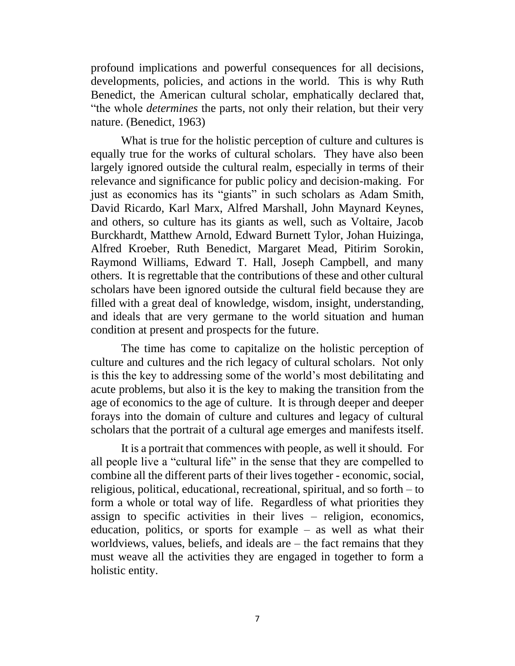profound implications and powerful consequences for all decisions, developments, policies, and actions in the world. This is why Ruth Benedict, the American cultural scholar, emphatically declared that, "the whole *determines* the parts, not only their relation, but their very nature. (Benedict, 1963)

What is true for the holistic perception of culture and cultures is equally true for the works of cultural scholars. They have also been largely ignored outside the cultural realm, especially in terms of their relevance and significance for public policy and decision-making. For just as economics has its "giants" in such scholars as Adam Smith, David Ricardo, Karl Marx, Alfred Marshall, John Maynard Keynes, and others, so culture has its giants as well, such as Voltaire, Jacob Burckhardt, Matthew Arnold, Edward Burnett Tylor, Johan Huizinga, Alfred Kroeber, Ruth Benedict, Margaret Mead, Pitirim Sorokin, Raymond Williams, Edward T. Hall, Joseph Campbell, and many others. It is regrettable that the contributions of these and other cultural scholars have been ignored outside the cultural field because they are filled with a great deal of knowledge, wisdom, insight, understanding, and ideals that are very germane to the world situation and human condition at present and prospects for the future.

The time has come to capitalize on the holistic perception of culture and cultures and the rich legacy of cultural scholars. Not only is this the key to addressing some of the world's most debilitating and acute problems, but also it is the key to making the transition from the age of economics to the age of culture. It is through deeper and deeper forays into the domain of culture and cultures and legacy of cultural scholars that the portrait of a cultural age emerges and manifests itself.

It is a portrait that commences with people, as well it should. For all people live a "cultural life" in the sense that they are compelled to combine all the different parts of their lives together - economic, social, religious, political, educational, recreational, spiritual, and so forth – to form a whole or total way of life. Regardless of what priorities they assign to specific activities in their lives – religion, economics, education, politics, or sports for example – as well as what their worldviews, values, beliefs, and ideals are – the fact remains that they must weave all the activities they are engaged in together to form a holistic entity.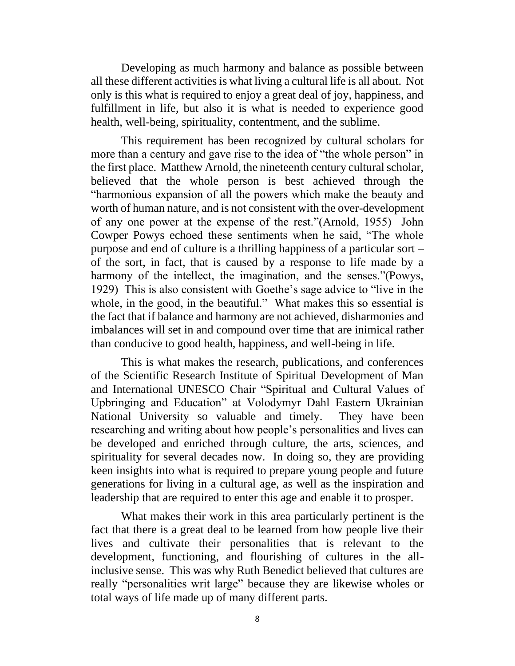Developing as much harmony and balance as possible between all these different activities is what living a cultural life is all about. Not only is this what is required to enjoy a great deal of joy, happiness, and fulfillment in life, but also it is what is needed to experience good health, well-being, spirituality, contentment, and the sublime.

This requirement has been recognized by cultural scholars for more than a century and gave rise to the idea of "the whole person" in the first place. Matthew Arnold, the nineteenth century cultural scholar, believed that the whole person is best achieved through the "harmonious expansion of all the powers which make the beauty and worth of human nature, and is not consistent with the over-development of any one power at the expense of the rest."(Arnold, 1955) John Cowper Powys echoed these sentiments when he said, "The whole purpose and end of culture is a thrilling happiness of a particular sort – of the sort, in fact, that is caused by a response to life made by a harmony of the intellect, the imagination, and the senses."(Powys, 1929) This is also consistent with Goethe's sage advice to "live in the whole, in the good, in the beautiful." What makes this so essential is the fact that if balance and harmony are not achieved, disharmonies and imbalances will set in and compound over time that are inimical rather than conducive to good health, happiness, and well-being in life.

This is what makes the research, publications, and conferences of the Scientific Research Institute of Spiritual Development of Man and International UNESCO Chair "Spiritual and Cultural Values of Upbringing and Education" at Volodymyr Dahl Eastern Ukrainian National University so valuable and timely. They have been researching and writing about how people's personalities and lives can be developed and enriched through culture, the arts, sciences, and spirituality for several decades now. In doing so, they are providing keen insights into what is required to prepare young people and future generations for living in a cultural age, as well as the inspiration and leadership that are required to enter this age and enable it to prosper.

What makes their work in this area particularly pertinent is the fact that there is a great deal to be learned from how people live their lives and cultivate their personalities that is relevant to the development, functioning, and flourishing of cultures in the allinclusive sense. This was why Ruth Benedict believed that cultures are really "personalities writ large" because they are likewise wholes or total ways of life made up of many different parts.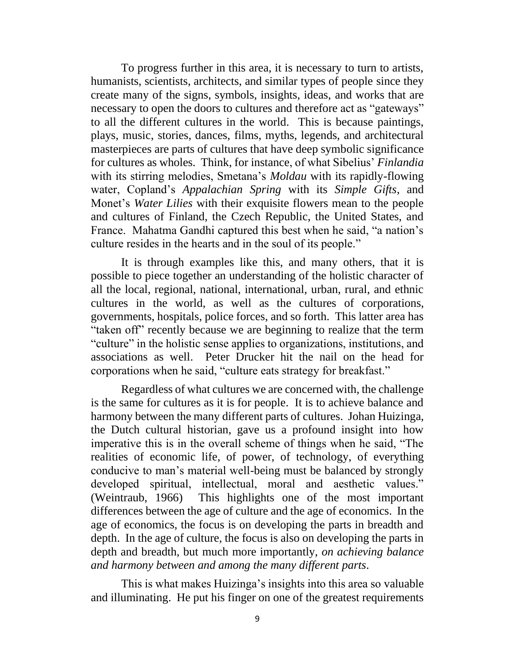To progress further in this area, it is necessary to turn to artists, humanists, scientists, architects, and similar types of people since they create many of the signs, symbols, insights, ideas, and works that are necessary to open the doors to cultures and therefore act as "gateways" to all the different cultures in the world. This is because paintings, plays, music, stories, dances, films, myths, legends, and architectural masterpieces are parts of cultures that have deep symbolic significance for cultures as wholes. Think, for instance, of what Sibelius' *Finlandia*  with its stirring melodies, Smetana's *Moldau* with its rapidly-flowing water, Copland's *Appalachian Spring* with its *Simple Gifts*, and Monet's *Water Lilies* with their exquisite flowers mean to the people and cultures of Finland, the Czech Republic, the United States, and France. Mahatma Gandhi captured this best when he said, "a nation's culture resides in the hearts and in the soul of its people."

It is through examples like this, and many others, that it is possible to piece together an understanding of the holistic character of all the local, regional, national, international, urban, rural, and ethnic cultures in the world, as well as the cultures of corporations, governments, hospitals, police forces, and so forth. This latter area has "taken off" recently because we are beginning to realize that the term "culture" in the holistic sense applies to organizations, institutions, and associations as well. Peter Drucker hit the nail on the head for corporations when he said, "culture eats strategy for breakfast."

Regardless of what cultures we are concerned with, the challenge is the same for cultures as it is for people. It is to achieve balance and harmony between the many different parts of cultures. Johan Huizinga, the Dutch cultural historian, gave us a profound insight into how imperative this is in the overall scheme of things when he said, "The realities of economic life, of power, of technology, of everything conducive to man's material well-being must be balanced by strongly developed spiritual, intellectual, moral and aesthetic values." (Weintraub, 1966) This highlights one of the most important differences between the age of culture and the age of economics. In the age of economics, the focus is on developing the parts in breadth and depth. In the age of culture, the focus is also on developing the parts in depth and breadth, but much more importantly, *on achieving balance and harmony between and among the many different parts*.

This is what makes Huizinga's insights into this area so valuable and illuminating. He put his finger on one of the greatest requirements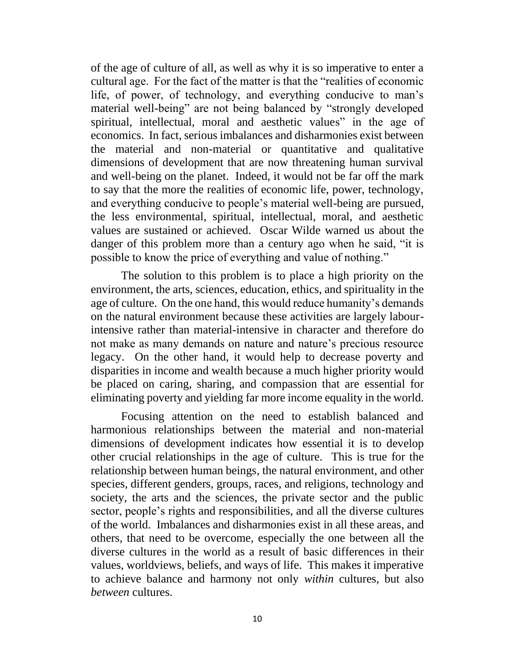of the age of culture of all, as well as why it is so imperative to enter a cultural age. For the fact of the matter is that the "realities of economic life, of power, of technology, and everything conducive to man's material well-being" are not being balanced by "strongly developed spiritual, intellectual, moral and aesthetic values" in the age of economics. In fact, serious imbalances and disharmonies exist between the material and non-material or quantitative and qualitative dimensions of development that are now threatening human survival and well-being on the planet. Indeed, it would not be far off the mark to say that the more the realities of economic life, power, technology, and everything conducive to people's material well-being are pursued, the less environmental, spiritual, intellectual, moral, and aesthetic values are sustained or achieved. Oscar Wilde warned us about the danger of this problem more than a century ago when he said, "it is possible to know the price of everything and value of nothing."

The solution to this problem is to place a high priority on the environment, the arts, sciences, education, ethics, and spirituality in the age of culture. On the one hand, this would reduce humanity's demands on the natural environment because these activities are largely labourintensive rather than material-intensive in character and therefore do not make as many demands on nature and nature's precious resource legacy. On the other hand, it would help to decrease poverty and disparities in income and wealth because a much higher priority would be placed on caring, sharing, and compassion that are essential for eliminating poverty and yielding far more income equality in the world.

Focusing attention on the need to establish balanced and harmonious relationships between the material and non-material dimensions of development indicates how essential it is to develop other crucial relationships in the age of culture. This is true for the relationship between human beings, the natural environment, and other species, different genders, groups, races, and religions, technology and society, the arts and the sciences, the private sector and the public sector, people's rights and responsibilities, and all the diverse cultures of the world. Imbalances and disharmonies exist in all these areas, and others, that need to be overcome, especially the one between all the diverse cultures in the world as a result of basic differences in their values, worldviews, beliefs, and ways of life. This makes it imperative to achieve balance and harmony not only *within* cultures, but also *between* cultures.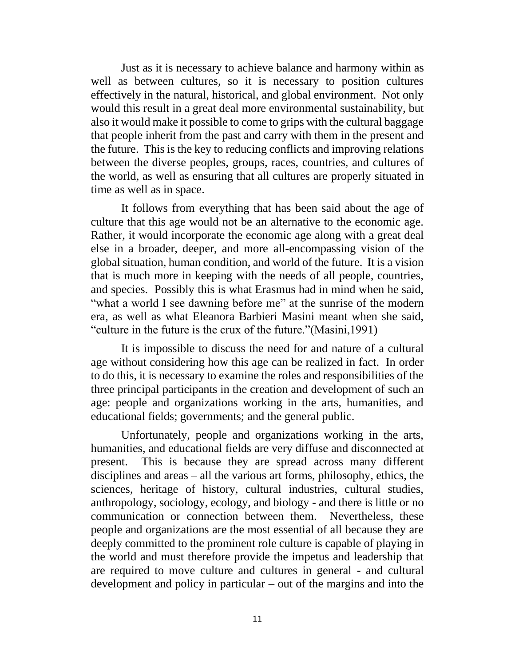Just as it is necessary to achieve balance and harmony within as well as between cultures, so it is necessary to position cultures effectively in the natural, historical, and global environment. Not only would this result in a great deal more environmental sustainability, but also it would make it possible to come to grips with the cultural baggage that people inherit from the past and carry with them in the present and the future. This is the key to reducing conflicts and improving relations between the diverse peoples, groups, races, countries, and cultures of the world, as well as ensuring that all cultures are properly situated in time as well as in space.

It follows from everything that has been said about the age of culture that this age would not be an alternative to the economic age. Rather, it would incorporate the economic age along with a great deal else in a broader, deeper, and more all-encompassing vision of the global situation, human condition, and world of the future. It is a vision that is much more in keeping with the needs of all people, countries, and species. Possibly this is what Erasmus had in mind when he said, "what a world I see dawning before me" at the sunrise of the modern era, as well as what Eleanora Barbieri Masini meant when she said, "culture in the future is the crux of the future."(Masini,1991)

It is impossible to discuss the need for and nature of a cultural age without considering how this age can be realized in fact. In order to do this, it is necessary to examine the roles and responsibilities of the three principal participants in the creation and development of such an age: people and organizations working in the arts, humanities, and educational fields; governments; and the general public.

Unfortunately, people and organizations working in the arts, humanities, and educational fields are very diffuse and disconnected at present. This is because they are spread across many different disciplines and areas – all the various art forms, philosophy, ethics, the sciences, heritage of history, cultural industries, cultural studies, anthropology, sociology, ecology, and biology - and there is little or no communication or connection between them. Nevertheless, these people and organizations are the most essential of all because they are deeply committed to the prominent role culture is capable of playing in the world and must therefore provide the impetus and leadership that are required to move culture and cultures in general - and cultural development and policy in particular – out of the margins and into the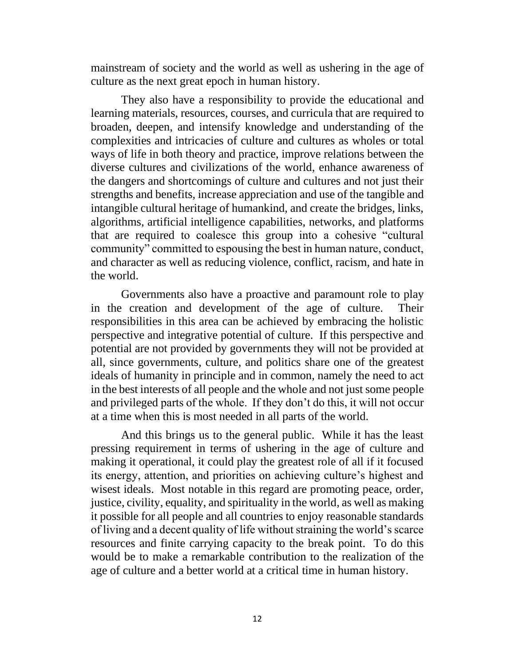mainstream of society and the world as well as ushering in the age of culture as the next great epoch in human history.

They also have a responsibility to provide the educational and learning materials, resources, courses, and curricula that are required to broaden, deepen, and intensify knowledge and understanding of the complexities and intricacies of culture and cultures as wholes or total ways of life in both theory and practice, improve relations between the diverse cultures and civilizations of the world, enhance awareness of the dangers and shortcomings of culture and cultures and not just their strengths and benefits, increase appreciation and use of the tangible and intangible cultural heritage of humankind, and create the bridges, links, algorithms, artificial intelligence capabilities, networks, and platforms that are required to coalesce this group into a cohesive "cultural community" committed to espousing the best in human nature, conduct, and character as well as reducing violence, conflict, racism, and hate in the world.

Governments also have a proactive and paramount role to play in the creation and development of the age of culture. Their responsibilities in this area can be achieved by embracing the holistic perspective and integrative potential of culture. If this perspective and potential are not provided by governments they will not be provided at all, since governments, culture, and politics share one of the greatest ideals of humanity in principle and in common, namely the need to act in the best interests of all people and the whole and not just some people and privileged parts of the whole. If they don't do this, it will not occur at a time when this is most needed in all parts of the world.

And this brings us to the general public. While it has the least pressing requirement in terms of ushering in the age of culture and making it operational, it could play the greatest role of all if it focused its energy, attention, and priorities on achieving culture's highest and wisest ideals. Most notable in this regard are promoting peace, order, justice, civility, equality, and spirituality in the world, as well as making it possible for all people and all countries to enjoy reasonable standards of living and a decent quality of life without straining the world's scarce resources and finite carrying capacity to the break point. To do this would be to make a remarkable contribution to the realization of the age of culture and a better world at a critical time in human history.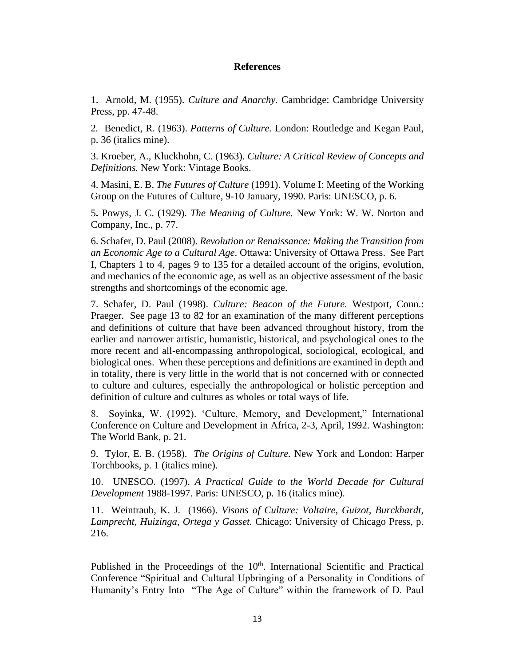## **References**

1. Arnold, M. (1955). *Culture and Anarchy.* Cambridge: Cambridge University Press, pp. 47-48.

2*.* Benedict, R. (1963). *Patterns of Culture.* London: Routledge and Kegan Paul, p. 36 (italics mine).

3. Kroeber, A., Kluckhohn, C. (1963). *Culture: A Critical Review of Concepts and Definitions.* New York: Vintage Books.

4. Masini, E. B. *The Futures of Culture* (1991). Volume I: Meeting of the Working Group on the Futures of Culture, 9-10 January, 1990. Paris: UNESCO, p. 6.

5**.** Powys, J. C. (1929). *The Meaning of Culture.* New York: W. W. Norton and Company, Inc., p. 77.

6. Schafer, D. Paul (2008). *Revolution or Renaissance: Making the Transition from an Economic Age to a Cultural Age*. Ottawa: University of Ottawa Press. See Part I, Chapters 1 to 4, pages 9 to 135 for a detailed account of the origins, evolution, and mechanics of the economic age, as well as an objective assessment of the basic strengths and shortcomings of the economic age.

7. Schafer, D. Paul (1998). *Culture: Beacon of the Future.* Westport, Conn.: Praeger. See page 13 to 82 for an examination of the many different perceptions and definitions of culture that have been advanced throughout history, from the earlier and narrower artistic, humanistic, historical, and psychological ones to the more recent and all-encompassing anthropological, sociological, ecological, and biological ones. When these perceptions and definitions are examined in depth and in totality, there is very little in the world that is not concerned with or connected to culture and cultures, especially the anthropological or holistic perception and definition of culture and cultures as wholes or total ways of life.

8. Soyinka, W. (1992). 'Culture, Memory, and Development," International Conference on Culture and Development in Africa, 2-3, April, 1992. Washington: The World Bank, p. 21.

9. Tylor, E. B. (1958). *The Origins of Culture.* New York and London: Harper Torchbooks, p. 1 (italics mine).

10.UNESCO. (1997). *A Practical Guide to the World Decade for Cultural Development* 1988-1997. Paris: UNESCO, p. 16 (italics mine).

11. Weintraub, K. J. (1966). *Visons of Culture: Voltaire, Guizot, Burckhardt, Lamprecht, Huizinga, Ortega y Gasset.* Chicago: University of Chicago Press, p. 216.

Published in the Proceedings of the  $10<sup>th</sup>$ . International Scientific and Practical Conference "Spiritual and Cultural Upbringing of a Personality in Conditions of Humanity's Entry Into "The Age of Culture" within the framework of D. Paul